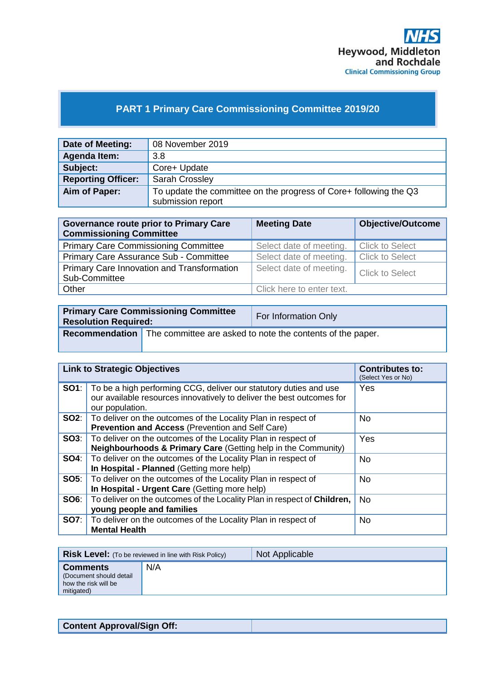

# **PART 1 Primary Care Commissioning Committee 2019/20**

| Date of Meeting:          | 08 November 2019                                                  |
|---------------------------|-------------------------------------------------------------------|
| Agenda Item:              | 3.8                                                               |
| Subject:                  | Core+ Update                                                      |
| <b>Reporting Officer:</b> | <b>Sarah Crossley</b>                                             |
| Aim of Paper:             | To update the committee on the progress of Core+ following the Q3 |
|                           | submission report                                                 |

| <b>Governance route prior to Primary Care</b><br><b>Commissioning Committee</b> | <b>Meeting Date</b>       | <b>Objective/Outcome</b> |
|---------------------------------------------------------------------------------|---------------------------|--------------------------|
| <b>Primary Care Commissioning Committee</b>                                     | Select date of meeting.   | <b>Click to Select</b>   |
| Primary Care Assurance Sub - Committee                                          | Select date of meeting.   | <b>Click to Select</b>   |
| Primary Care Innovation and Transformation<br>Sub-Committee                     | Select date of meeting.   | <b>Click to Select</b>   |
| Other                                                                           | Click here to enter text. |                          |

| <b>Primary Care Commissioning Committee</b><br><b>Resolution Required:</b> |                                                                                  | For Information Only |
|----------------------------------------------------------------------------|----------------------------------------------------------------------------------|----------------------|
|                                                                            | <b>Recommendation</b> The committee are asked to note the contents of the paper. |                      |

|             | <b>Link to Strategic Objectives</b>                                                                                                                           | <b>Contributes to:</b><br>(Select Yes or No) |
|-------------|---------------------------------------------------------------------------------------------------------------------------------------------------------------|----------------------------------------------|
| SO1:        | To be a high performing CCG, deliver our statutory duties and use<br>our available resources innovatively to deliver the best outcomes for<br>our population. | Yes                                          |
|             | <b>SO2:</b> To deliver on the outcomes of the Locality Plan in respect of<br>Prevention and Access (Prevention and Self Care)                                 | <b>No</b>                                    |
| SO3:        | To deliver on the outcomes of the Locality Plan in respect of<br><b>Neighbourhoods &amp; Primary Care (Getting help in the Community)</b>                     | Yes                                          |
| <b>SO4:</b> | To deliver on the outcomes of the Locality Plan in respect of<br>In Hospital - Planned (Getting more help)                                                    | <b>No</b>                                    |
|             | <b>SO5:</b> To deliver on the outcomes of the Locality Plan in respect of<br>In Hospital - Urgent Care (Getting more help)                                    | <b>No</b>                                    |
| <b>SO6:</b> | To deliver on the outcomes of the Locality Plan in respect of Children,<br>young people and families                                                          | <b>No</b>                                    |
| <b>SO7:</b> | To deliver on the outcomes of the Locality Plan in respect of<br><b>Mental Health</b>                                                                         | <b>No</b>                                    |

|                                                                                  | <b>Risk Level:</b> (To be reviewed in line with Risk Policy) | Not Applicable |
|----------------------------------------------------------------------------------|--------------------------------------------------------------|----------------|
| <b>Comments</b><br>(Document should detail<br>how the risk will be<br>mitigated) | N/A                                                          |                |

| <b>Content Approval/Sign Off:</b> |
|-----------------------------------|
|-----------------------------------|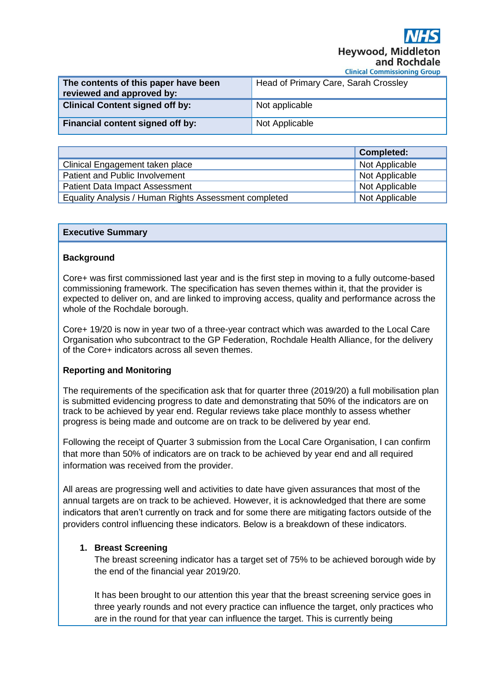**Hevwood, Midd** and Rochdale

**Clinical Commissioning Group** 

| The contents of this paper have been<br>reviewed and approved by: | Head of Primary Care, Sarah Crossley |
|-------------------------------------------------------------------|--------------------------------------|
| <b>Clinical Content signed off by:</b>                            | Not applicable                       |
| Financial content signed off by:                                  | Not Applicable                       |

|                                                       | <b>Completed:</b> |
|-------------------------------------------------------|-------------------|
| Clinical Engagement taken place                       | Not Applicable    |
| Patient and Public Involvement                        | Not Applicable    |
| <b>Patient Data Impact Assessment</b>                 | Not Applicable    |
| Equality Analysis / Human Rights Assessment completed | Not Applicable    |

#### **Executive Summary**

#### **Background**

Core+ was first commissioned last year and is the first step in moving to a fully outcome-based commissioning framework. The specification has seven themes within it, that the provider is expected to deliver on, and are linked to improving access, quality and performance across the whole of the Rochdale borough.

Core+ 19/20 is now in year two of a three-year contract which was awarded to the Local Care Organisation who subcontract to the GP Federation, Rochdale Health Alliance, for the delivery of the Core+ indicators across all seven themes.

## **Reporting and Monitoring**

The requirements of the specification ask that for quarter three (2019/20) a full mobilisation plan is submitted evidencing progress to date and demonstrating that 50% of the indicators are on track to be achieved by year end. Regular reviews take place monthly to assess whether progress is being made and outcome are on track to be delivered by year end.

Following the receipt of Quarter 3 submission from the Local Care Organisation, I can confirm that more than 50% of indicators are on track to be achieved by year end and all required information was received from the provider.

All areas are progressing well and activities to date have given assurances that most of the annual targets are on track to be achieved. However, it is acknowledged that there are some indicators that aren't currently on track and for some there are mitigating factors outside of the providers control influencing these indicators. Below is a breakdown of these indicators.

## **1. Breast Screening**

The breast screening indicator has a target set of 75% to be achieved borough wide by the end of the financial year 2019/20.

It has been brought to our attention this year that the breast screening service goes in three yearly rounds and not every practice can influence the target, only practices who are in the round for that year can influence the target. This is currently being